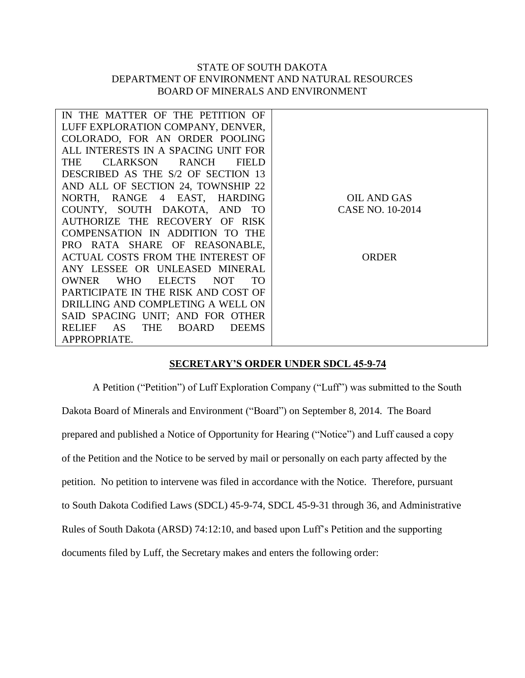## STATE OF SOUTH DAKOTA DEPARTMENT OF ENVIRONMENT AND NATURAL RESOURCES BOARD OF MINERALS AND ENVIRONMENT

| IN THE MATTER OF THE PETITION OF                                      |                  |
|-----------------------------------------------------------------------|------------------|
| LUFF EXPLORATION COMPANY, DENVER,                                     |                  |
| COLORADO, FOR AN ORDER POOLING                                        |                  |
| ALL INTERESTS IN A SPACING UNIT FOR                                   |                  |
| CLARKSON RANCH<br>THE<br>FIELD                                        |                  |
| DESCRIBED AS THE S/2 OF SECTION 13                                    |                  |
| AND ALL OF SECTION 24, TOWNSHIP 22                                    |                  |
| NORTH, RANGE 4 EAST, HARDING                                          | OIL AND GAS      |
| COUNTY, SOUTH DAKOTA, AND TO                                          | CASE NO. 10-2014 |
| AUTHORIZE THE RECOVERY OF RISK                                        |                  |
| COMPENSATION IN ADDITION TO THE                                       |                  |
| PRO RATA SHARE OF REASONABLE,                                         |                  |
| ACTUAL COSTS FROM THE INTEREST OF                                     | <b>ORDER</b>     |
| ANY LESSEE OR UNLEASED MINERAL                                        |                  |
| <b>ELECTS</b><br><b>OWNER</b><br><b>WHO</b><br>NOT<br>TO <sub>1</sub> |                  |
| PARTICIPATE IN THE RISK AND COST OF                                   |                  |
| DRILLING AND COMPLETING A WELL ON                                     |                  |
| SAID SPACING UNIT; AND FOR OTHER                                      |                  |
| <b>THE</b><br><b>RELIEF</b><br>AS.<br><b>BOARD</b><br><b>DEEMS</b>    |                  |
| APPROPRIATE.                                                          |                  |
|                                                                       |                  |

## **SECRETARY'S ORDER UNDER SDCL 45-9-74**

A Petition ("Petition") of Luff Exploration Company ("Luff") was submitted to the South Dakota Board of Minerals and Environment ("Board") on September 8, 2014. The Board prepared and published a Notice of Opportunity for Hearing ("Notice") and Luff caused a copy of the Petition and the Notice to be served by mail or personally on each party affected by the petition. No petition to intervene was filed in accordance with the Notice. Therefore, pursuant to South Dakota Codified Laws (SDCL) 45-9-74, SDCL 45-9-31 through 36, and Administrative Rules of South Dakota (ARSD) 74:12:10, and based upon Luff's Petition and the supporting documents filed by Luff, the Secretary makes and enters the following order: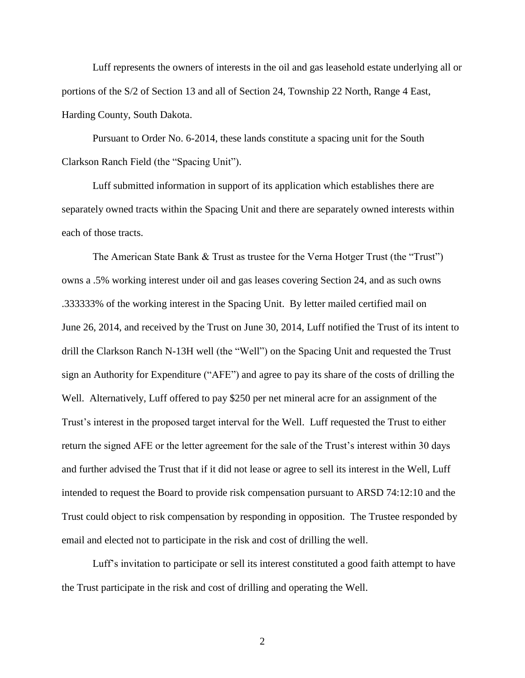Luff represents the owners of interests in the oil and gas leasehold estate underlying all or portions of the S/2 of Section 13 and all of Section 24, Township 22 North, Range 4 East, Harding County, South Dakota.

Pursuant to Order No. 6-2014, these lands constitute a spacing unit for the South Clarkson Ranch Field (the "Spacing Unit").

Luff submitted information in support of its application which establishes there are separately owned tracts within the Spacing Unit and there are separately owned interests within each of those tracts.

The American State Bank & Trust as trustee for the Verna Hotger Trust (the "Trust") owns a .5% working interest under oil and gas leases covering Section 24, and as such owns .333333% of the working interest in the Spacing Unit. By letter mailed certified mail on June 26, 2014, and received by the Trust on June 30, 2014, Luff notified the Trust of its intent to drill the Clarkson Ranch N-13H well (the "Well") on the Spacing Unit and requested the Trust sign an Authority for Expenditure ("AFE") and agree to pay its share of the costs of drilling the Well. Alternatively, Luff offered to pay \$250 per net mineral acre for an assignment of the Trust's interest in the proposed target interval for the Well. Luff requested the Trust to either return the signed AFE or the letter agreement for the sale of the Trust's interest within 30 days and further advised the Trust that if it did not lease or agree to sell its interest in the Well, Luff intended to request the Board to provide risk compensation pursuant to ARSD 74:12:10 and the Trust could object to risk compensation by responding in opposition. The Trustee responded by email and elected not to participate in the risk and cost of drilling the well.

Luff's invitation to participate or sell its interest constituted a good faith attempt to have the Trust participate in the risk and cost of drilling and operating the Well.

2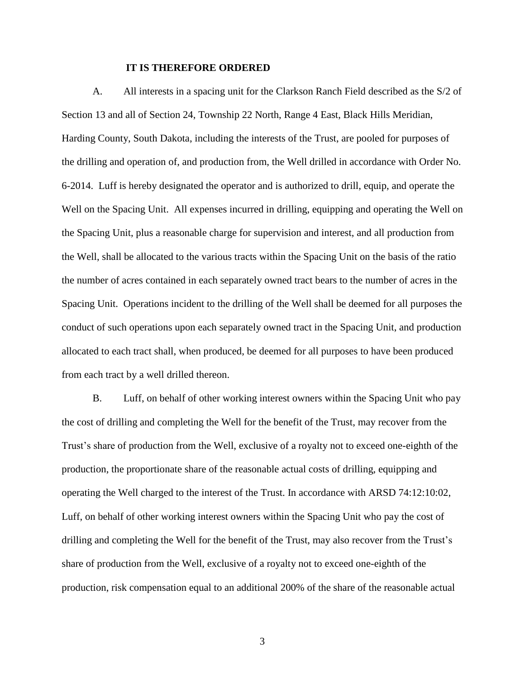## **IT IS THEREFORE ORDERED**

A. All interests in a spacing unit for the Clarkson Ranch Field described as the S/2 of Section 13 and all of Section 24, Township 22 North, Range 4 East, Black Hills Meridian, Harding County, South Dakota, including the interests of the Trust, are pooled for purposes of the drilling and operation of, and production from, the Well drilled in accordance with Order No. 6-2014. Luff is hereby designated the operator and is authorized to drill, equip, and operate the Well on the Spacing Unit. All expenses incurred in drilling, equipping and operating the Well on the Spacing Unit, plus a reasonable charge for supervision and interest, and all production from the Well, shall be allocated to the various tracts within the Spacing Unit on the basis of the ratio the number of acres contained in each separately owned tract bears to the number of acres in the Spacing Unit. Operations incident to the drilling of the Well shall be deemed for all purposes the conduct of such operations upon each separately owned tract in the Spacing Unit, and production allocated to each tract shall, when produced, be deemed for all purposes to have been produced from each tract by a well drilled thereon.

B. Luff, on behalf of other working interest owners within the Spacing Unit who pay the cost of drilling and completing the Well for the benefit of the Trust, may recover from the Trust's share of production from the Well, exclusive of a royalty not to exceed one-eighth of the production, the proportionate share of the reasonable actual costs of drilling, equipping and operating the Well charged to the interest of the Trust. In accordance with ARSD 74:12:10:02, Luff, on behalf of other working interest owners within the Spacing Unit who pay the cost of drilling and completing the Well for the benefit of the Trust, may also recover from the Trust's share of production from the Well, exclusive of a royalty not to exceed one-eighth of the production, risk compensation equal to an additional 200% of the share of the reasonable actual

3